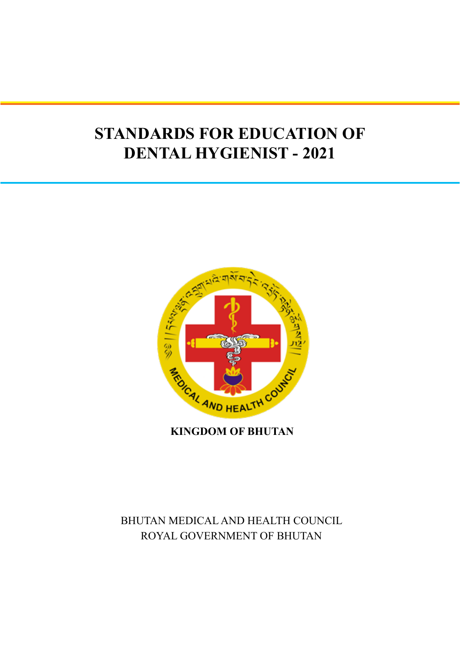# **STANDARDS FOR EDUCATION OF DENTAL HYGIENIST - 2021**



**KINGDOM OF BHUTAN**

# BHUTAN MEDICAL AND HEALTH COUNCIL ROYAL GOVERNMENT OF BHUTAN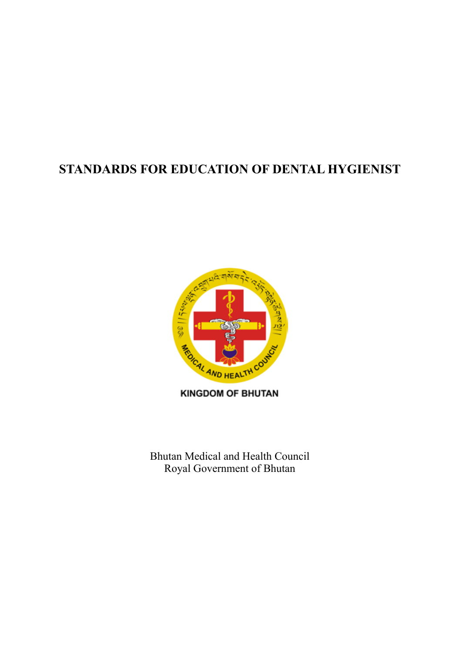# **STANDARDS FOR EDUCATION OF DENTAL HYGIENIST**



**KINGDOM OF BHUTAN** 

Bhutan Medical and Health Council Royal Government of Bhutan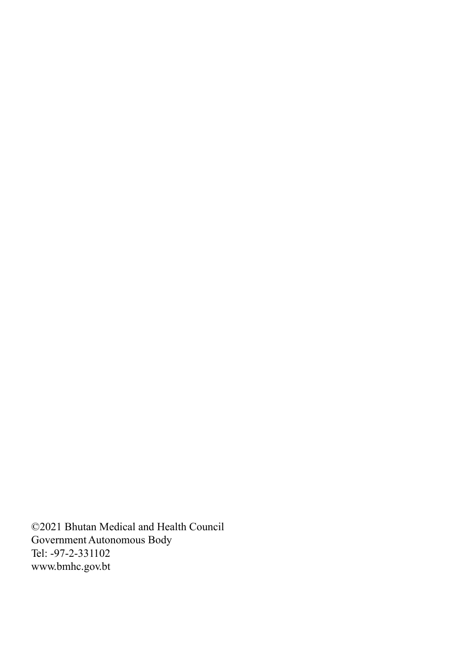©2021 Bhutan Medical and Health Council Government Autonomous Body Tel: -97-2-331102 www.bmhc.gov.bt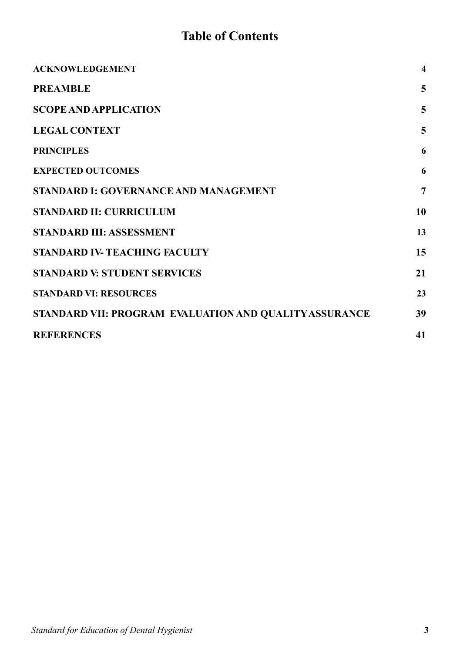# **Table of Contents**

| <b>ACKNOWLEDGEMENT</b>                                 | $\overline{\mathbf{4}}$ |
|--------------------------------------------------------|-------------------------|
| <b>PREAMBLE</b>                                        | 5                       |
| <b>SCOPE AND APPLICATION</b>                           | 5                       |
| <b>LEGAL CONTEXT</b>                                   | 5                       |
| <b>PRINCIPLES</b>                                      | 6                       |
| <b>EXPECTED OUTCOMES</b>                               | 6                       |
| <b>STANDARD I: GOVERNANCE AND MANAGEMENT</b>           | $\overline{7}$          |
| <b>STANDARD II: CURRICULUM</b>                         | 10                      |
| STANDARD III: ASSESSMENT                               | 13                      |
| <b>STANDARD IV-TEACHING FACULTY</b>                    | 15                      |
| <b>STANDARD V: STUDENT SERVICES</b>                    | 21                      |
| <b>STANDARD VI: RESOURCES</b>                          | 23                      |
| STANDARD VII: PROGRAM EVALUATION AND QUALITY ASSURANCE | 39                      |
| <b>REFERENCES</b>                                      | 41                      |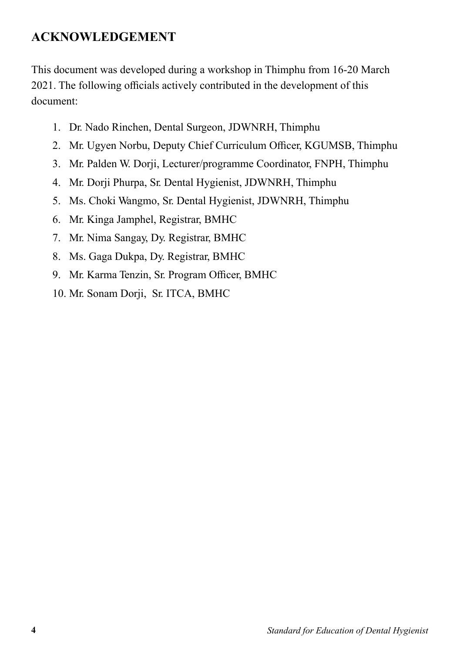# **ACKNOWLEDGEMENT**

This document was developed during a workshop in Thimphu from 16-20 March 2021. The following officials actively contributed in the development of this document:

- 1. Dr. Nado Rinchen, Dental Surgeon, JDWNRH, Thimphu
- 2. Mr. Ugyen Norbu, Deputy Chief Curriculum Officer, KGUMSB, Thimphu
- 3. Mr. Palden W. Dorji, Lecturer/programme Coordinator, FNPH, Thimphu
- 4. Mr. Dorji Phurpa, Sr. Dental Hygienist, JDWNRH, Thimphu
- 5. Ms. Choki Wangmo, Sr. Dental Hygienist, JDWNRH, Thimphu
- 6. Mr. Kinga Jamphel, Registrar, BMHC
- 7. Mr. Nima Sangay, Dy. Registrar, BMHC
- 8. Ms. Gaga Dukpa, Dy. Registrar, BMHC
- 9. Mr. Karma Tenzin, Sr. Program Officer, BMHC
- 10. Mr. Sonam Dorji, Sr. ITCA, BMHC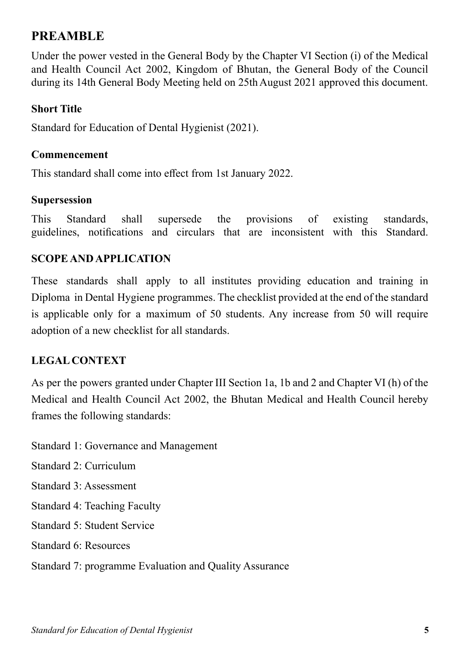# **PREAMBLE**

Under the power vested in the General Body by the Chapter VI Section (i) of the Medical and Health Council Act 2002, Kingdom of Bhutan, the General Body of the Council during its 14th General Body Meeting held on 25th August 2021 approved this document.

#### **Short Title**

Standard for Education of Dental Hygienist (2021).

#### **Commencement**

This standard shall come into effect from 1st January 2022.

#### **Supersession**

This Standard shall supersede the provisions of existing standards, guidelines, notifications and circulars that are inconsistent with this Standard.

## **SCOPE AND APPLICATION**

These standards shall apply to all institutes providing education and training in Diploma in Dental Hygiene programmes. The checklist provided at the end of the standard is applicable only for a maximum of 50 students. Any increase from 50 will require adoption of a new checklist for all standards.

## **LEGAL CONTEXT**

As per the powers granted under Chapter III Section 1a, 1b and 2 and Chapter VI (h) of the Medical and Health Council Act 2002, the Bhutan Medical and Health Council hereby frames the following standards:

Standard 1: Governance and Management

Standard 2: Curriculum

Standard 3: Assessment

Standard 4: Teaching Faculty

Standard 5: Student Service

Standard 6: Resources

Standard 7: programme Evaluation and Quality Assurance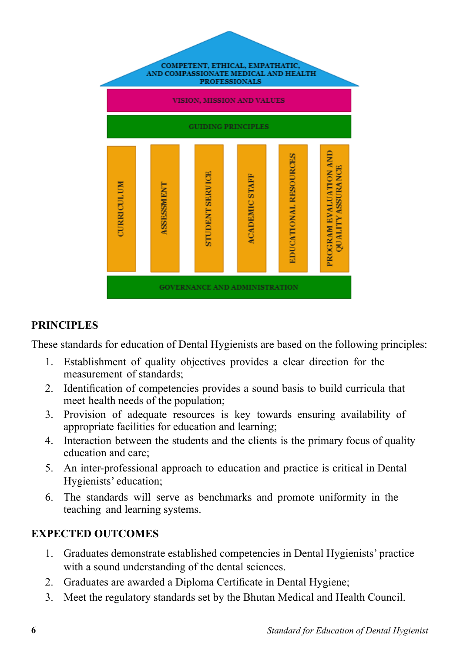

# **PRINCIPLES**

These standards for education of Dental Hygienists are based on the following principles:

- 1. Establishment of quality objectives provides a clear direction for the measurement of standards;
- 2. Identification of competencies provides a sound basis to build curricula that meet health needs of the population;
- 3. Provision of adequate resources is key towards ensuring availability of appropriate facilities for education and learning;
- 4. Interaction between the students and the clients is the primary focus of quality education and care;
- 5. An inter-professional approach to education and practice is critical in Dental Hygienists' education;
- 6. The standards will serve as benchmarks and promote uniformity in the teaching and learning systems.

# **EXPECTED OUTCOMES**

- 1. Graduates demonstrate established competencies in Dental Hygienists' practice with a sound understanding of the dental sciences.
- 2. Graduates are awarded a Diploma Certificate in Dental Hygiene;
- 3. Meet the regulatory standards set by the Bhutan Medical and Health Council.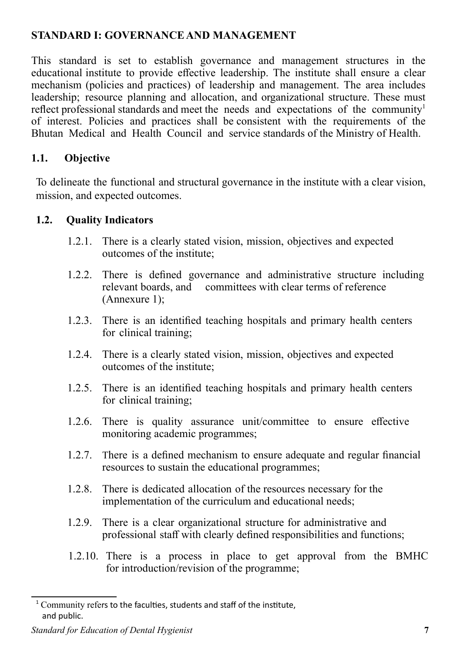# **STANDARD I: GOVERNANCE AND MANAGEMENT**

This standard is set to establish governance and management structures in the educational institute to provide effective leadership. The institute shall ensure a clear mechanism (policies and practices) of leadership and management. The area includes leadership; resource planning and allocation, and organizational structure. These must reflect professional standards and meet the needs and expectations of the community<sup>1</sup> of interest. Policies and practices shall be consistent with the requirements of the Bhutan Medical and Health Council and service standards of the Ministry of Health.

# **1.1. Objective**

To delineate the functional and structural governance in the institute with a clear vision, mission, and expected outcomes.

#### **1.2. Quality Indicators**

- 1.2.1. There is a clearly stated vision, mission, objectives and expected outcomes of the institute;
- 1.2.2. There is defined governance and administrative structure including relevant boards, and committees with clear terms of reference (Annexure 1);
- 1.2.3. There is an identified teaching hospitals and primary health centers for clinical training;
- 1.2.4. There is a clearly stated vision, mission, objectives and expected outcomes of the institute;
- 1.2.5. There is an identified teaching hospitals and primary health centers for clinical training;
- 1.2.6. There is quality assurance unit/committee to ensure effective monitoring academic programmes;
- 1.2.7. There is a defined mechanism to ensure adequate and regular financial resources to sustain the educational programmes;
- 1.2.8. There is dedicated allocation of the resources necessary for the implementation of the curriculum and educational needs;
- 1.2.9. There is a clear organizational structure for administrative and professional staff with clearly defined responsibilities and functions;
- 1.2.10. There is a process in place to get approval from the BMHC for introduction/revision of the programme;

 $1$ <sup>1</sup> Community refers to the faculties, students and staff of the institute, and public.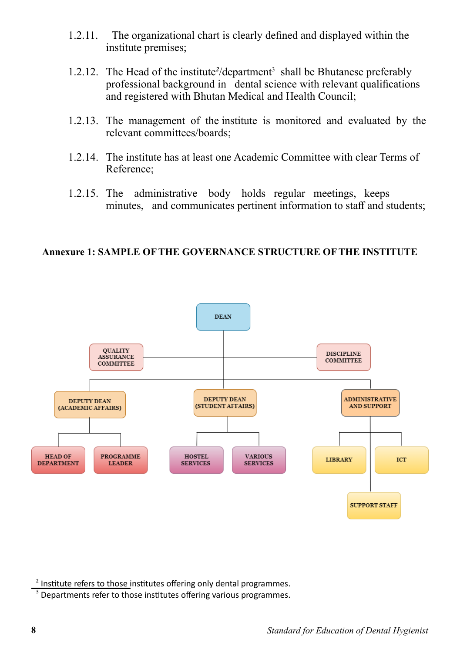- 1.2.11. The organizational chart is clearly defined and displayed within the institute premises;
- 1.2.12. The Head of the institute<sup>2</sup>/department<sup>3</sup> shall be Bhutanese preferably professional background in dental science with relevant qualifications and registered with Bhutan Medical and Health Council;
- 1.2.13. The management of the institute is monitored and evaluated by the relevant committees/boards;
- 1.2.14. The institute has at least one Academic Committee with clear Terms of Reference;
- 1.2.15. The administrative body holds regular meetings, keeps minutes, and communicates pertinent information to staff and students;

#### **Annexure 1: SAMPLE OF THE GOVERNANCE STRUCTURE OF THE INSTITUTE**



 $2$  Institute refers to those institutes offering only dental programmes.

 $3$  Departments refer to those institutes offering various programmes.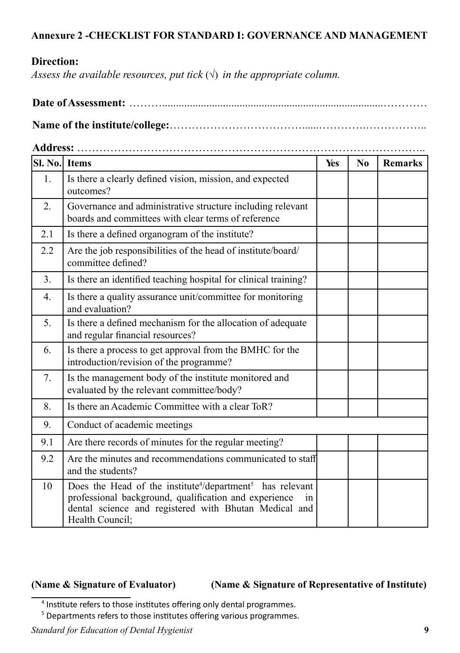#### **Annexure 2 -CHECKLIST FOR STANDARD I: GOVERNANCE AND MANAGEMENT**

# **Direction:**

*Assess the available resources, put tick*  $(\sqrt{})$  *in the appropriate column.* 

**Address:** …………………………………………………………………………………..

| SI. No. | <b>Items</b>                                                                                                                                                                                                                 | Yes | N <sub>0</sub> | <b>Remarks</b> |
|---------|------------------------------------------------------------------------------------------------------------------------------------------------------------------------------------------------------------------------------|-----|----------------|----------------|
| 1.      | Is there a clearly defined vision, mission, and expected<br>outcomes?                                                                                                                                                        |     |                |                |
| 2.      | Governance and administrative structure including relevant<br>boards and committees with clear terms of reference                                                                                                            |     |                |                |
| 2.1     | Is there a defined organogram of the institute?                                                                                                                                                                              |     |                |                |
| 2.2     | Are the job responsibilities of the head of institute/board/<br>committee defined?                                                                                                                                           |     |                |                |
| 3.      | Is there an identified teaching hospital for clinical training?                                                                                                                                                              |     |                |                |
| 4.      | Is there a quality assurance unit/committee for monitoring<br>and evaluation?                                                                                                                                                |     |                |                |
| 5.      | Is there a defined mechanism for the allocation of adequate<br>and regular financial resources?                                                                                                                              |     |                |                |
| 6.      | Is there a process to get approval from the BMHC for the<br>introduction/revision of the programme?                                                                                                                          |     |                |                |
| 7.      | Is the management body of the institute monitored and<br>evaluated by the relevant committee/body?                                                                                                                           |     |                |                |
| 8.      | Is there an Academic Committee with a clear ToR?                                                                                                                                                                             |     |                |                |
| 9.      | Conduct of academic meetings                                                                                                                                                                                                 |     |                |                |
| 9.1     | Are there records of minutes for the regular meeting?                                                                                                                                                                        |     |                |                |
| 9.2     | Are the minutes and recommendations communicated to staff<br>and the students?                                                                                                                                               |     |                |                |
| 10      | Does the Head of the institute <sup>4</sup> /department <sup>5</sup> has relevant<br>professional background, qualification and experience<br>1n<br>dental science and registered with Bhutan Medical and<br>Health Council; |     |                |                |

**(Name & Signature of Evaluator) (Name & Signature of Representative of Institute)**

*Standard for Education of Dental Hygienist* **9**

<sup>&</sup>lt;sup>4</sup> Institute refers to those institutes offering only dental programmes.

 $5$  Departments refers to those institutes offering various programmes.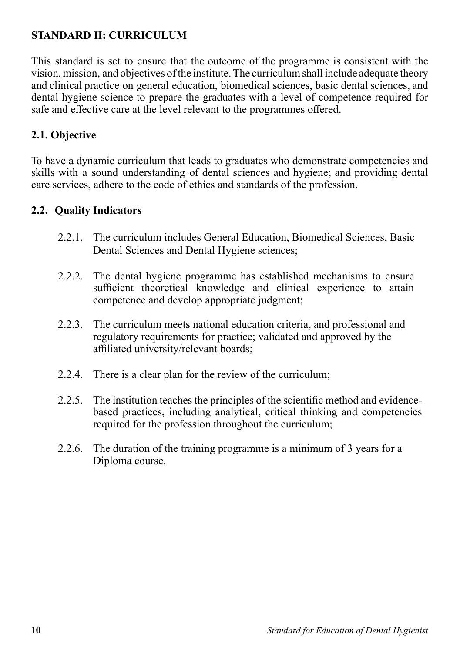# **STANDARD II: CURRICULUM**

This standard is set to ensure that the outcome of the programme is consistent with the vision, mission, and objectives of the institute. The curriculum shall include adequate theory and clinical practice on general education, biomedical sciences, basic dental sciences, and dental hygiene science to prepare the graduates with a level of competence required for safe and effective care at the level relevant to the programmes offered.

# **2.1. Objective**

To have a dynamic curriculum that leads to graduates who demonstrate competencies and skills with a sound understanding of dental sciences and hygiene; and providing dental care services, adhere to the code of ethics and standards of the profession.

#### **2.2. Quality Indicators**

- 2.2.1. The curriculum includes General Education, Biomedical Sciences, Basic Dental Sciences and Dental Hygiene sciences;
- 2.2.2. The dental hygiene programme has established mechanisms to ensure sufficient theoretical knowledge and clinical experience to attain competence and develop appropriate judgment;
- 2.2.3. The curriculum meets national education criteria, and professional and regulatory requirements for practice; validated and approved by the affiliated university/relevant boards;
- 2.2.4. There is a clear plan for the review of the curriculum;
- 2.2.5. The institution teaches the principles of the scientific method and evidencebased practices, including analytical, critical thinking and competencies required for the profession throughout the curriculum;
- 2.2.6. The duration of the training programme is a minimum of 3 years for a Diploma course.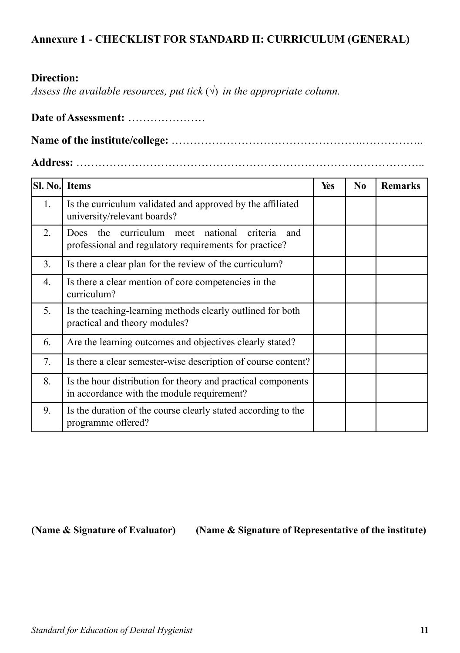# **Annexure 1 - CHECKLIST FOR STANDARD II: CURRICULUM (GENERAL)**

#### **Direction:**

*Assess the available resources, put tick*  $(\sqrt{})$  *in the appropriate column.* 

#### **Date of Assessment:** …………………

**Name of the institute/college:** …………………………………………….……………..

**Address:** …………………………………………………………………………………..

| <b>SI. No. Items</b> |                                                                                                                          | Yes | N <sub>0</sub> | <b>Remarks</b> |
|----------------------|--------------------------------------------------------------------------------------------------------------------------|-----|----------------|----------------|
| 1.                   | Is the curriculum validated and approved by the affiliated<br>university/relevant boards?                                |     |                |                |
| 2.                   | curriculum meet national criteria<br>the<br><b>Does</b><br>and<br>professional and regulatory requirements for practice? |     |                |                |
| 3.                   | Is there a clear plan for the review of the curriculum?                                                                  |     |                |                |
| 4.                   | Is there a clear mention of core competencies in the<br>curriculum?                                                      |     |                |                |
| 5.                   | Is the teaching-learning methods clearly outlined for both<br>practical and theory modules?                              |     |                |                |
| 6.                   | Are the learning outcomes and objectives clearly stated?                                                                 |     |                |                |
| 7.                   | Is there a clear semester-wise description of course content?                                                            |     |                |                |
| 8.                   | Is the hour distribution for theory and practical components<br>in accordance with the module requirement?               |     |                |                |
| 9.                   | Is the duration of the course clearly stated according to the<br>programme offered?                                      |     |                |                |

**(Name & Signature of Evaluator) (Name & Signature of Representative of the institute)**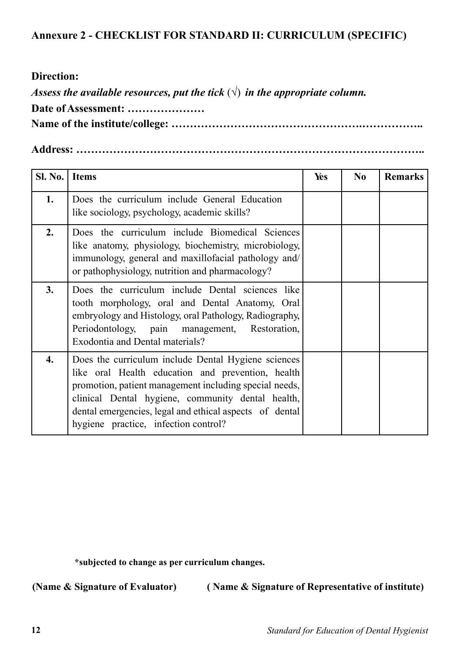# **Annexure 2 - CHECKLIST FOR STANDARD II: CURRICULUM (SPECIFIC)**

#### **Direction:**

*Assess the available resources, put the tick*  $(\sqrt{})$  *in the appropriate column.* 

**Date of Assessment: …………………**

**Name of the institute/college: …………………………………………….……………..**

**Address: …………………………………………………………………………………..**

| Sl. No. | <b>Items</b>                                                                                                                                                                                                                                                                                                               | Yes | N <sub>0</sub> | <b>Remarks</b> |
|---------|----------------------------------------------------------------------------------------------------------------------------------------------------------------------------------------------------------------------------------------------------------------------------------------------------------------------------|-----|----------------|----------------|
| 1.      | Does the curriculum include General Education<br>like sociology, psychology, academic skills?                                                                                                                                                                                                                              |     |                |                |
| 2.      | Does the curriculum include Biomedical Sciences<br>like anatomy, physiology, biochemistry, microbiology,<br>immunology, general and maxillofacial pathology and/<br>or pathophysiology, nutrition and pharmacology?                                                                                                        |     |                |                |
| 3.      | Does the curriculum include Dental sciences like<br>tooth morphology, oral and Dental Anatomy, Oral<br>embryology and Histology, oral Pathology, Radiography,<br>Periodontology, pain management, Restoration,<br><b>Exodontia and Dental materials?</b>                                                                   |     |                |                |
| 4.      | Does the curriculum include Dental Hygiene sciences<br>like oral Health education and prevention, health<br>promotion, patient management including special needs,<br>clinical Dental hygiene, community dental health,<br>dental emergencies, legal and ethical aspects of dental<br>hygiene practice, infection control? |     |                |                |

**\*subjected to change as per curriculum changes.**

**(Name & Signature of Evaluator) ( Name & Signature of Representative of institute)**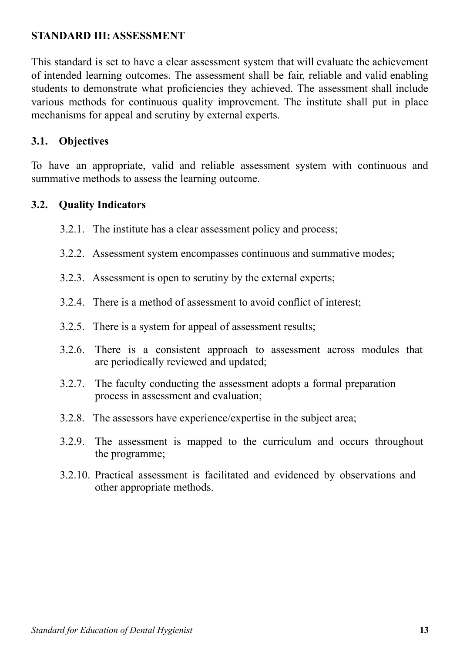# **STANDARD III: ASSESSMENT**

This standard is set to have a clear assessment system that will evaluate the achievement of intended learning outcomes. The assessment shall be fair, reliable and valid enabling students to demonstrate what proficiencies they achieved. The assessment shall include various methods for continuous quality improvement. The institute shall put in place mechanisms for appeal and scrutiny by external experts.

#### **3.1. Objectives**

To have an appropriate, valid and reliable assessment system with continuous and summative methods to assess the learning outcome.

#### **3.2. Quality Indicators**

- 3.2.1. The institute has a clear assessment policy and process;
- 3.2.2. Assessment system encompasses continuous and summative modes;
- 3.2.3. Assessment is open to scrutiny by the external experts;
- 3.2.4. There is a method of assessment to avoid conflict of interest;
- 3.2.5. There is a system for appeal of assessment results;
- 3.2.6. There is a consistent approach to assessment across modules that are periodically reviewed and updated;
- 3.2.7. The faculty conducting the assessment adopts a formal preparation process in assessment and evaluation;
- 3.2.8. The assessors have experience/expertise in the subject area;
- 3.2.9. The assessment is mapped to the curriculum and occurs throughout the programme;
- 3.2.10. Practical assessment is facilitated and evidenced by observations and other appropriate methods.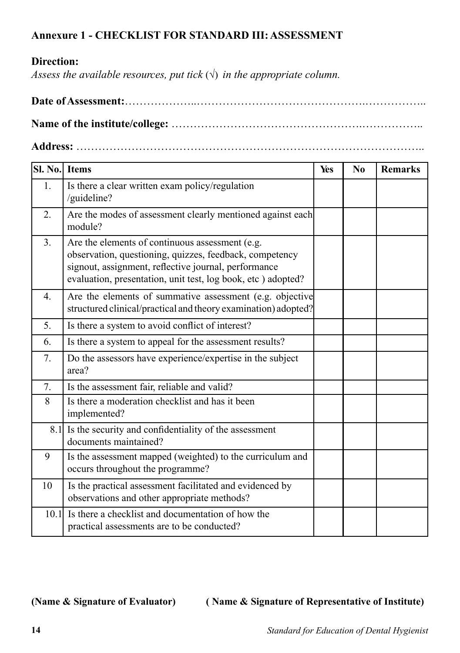# **Annexure 1 - CHECKLIST FOR STANDARD III: ASSESSMENT**

# **Direction:**

*Assess the available resources, put tick*  $(\sqrt{})$  *in the appropriate column.* 

**Name of the institute/college:** …………………………………………….…………….. **Address:** …………………………………………………………………………………..

| SI. No. | <b>Items</b>                                                                                                                                                                                                                        | Yes | N <sub>0</sub> | <b>Remarks</b> |
|---------|-------------------------------------------------------------------------------------------------------------------------------------------------------------------------------------------------------------------------------------|-----|----------------|----------------|
| 1.      | Is there a clear written exam policy/regulation<br>/guideline?                                                                                                                                                                      |     |                |                |
| 2.      | Are the modes of assessment clearly mentioned against each<br>module?                                                                                                                                                               |     |                |                |
| 3.      | Are the elements of continuous assessment (e.g.<br>observation, questioning, quizzes, feedback, competency<br>signout, assignment, reflective journal, performance<br>evaluation, presentation, unit test, log book, etc ) adopted? |     |                |                |
| 4.      | Are the elements of summative assessment (e.g. objective<br>structured clinical/practical and theory examination) adopted?                                                                                                          |     |                |                |
| 5.      | Is there a system to avoid conflict of interest?                                                                                                                                                                                    |     |                |                |
| 6.      | Is there a system to appeal for the assessment results?                                                                                                                                                                             |     |                |                |
| 7.      | Do the assessors have experience/expertise in the subject<br>area?                                                                                                                                                                  |     |                |                |
| 7.      | Is the assessment fair, reliable and valid?                                                                                                                                                                                         |     |                |                |
| 8       | Is there a moderation checklist and has it been<br>implemented?                                                                                                                                                                     |     |                |                |
|         | 8.1 Is the security and confidentiality of the assessment<br>documents maintained?                                                                                                                                                  |     |                |                |
| 9       | Is the assessment mapped (weighted) to the curriculum and<br>occurs throughout the programme?                                                                                                                                       |     |                |                |
| 10      | Is the practical assessment facilitated and evidenced by<br>observations and other appropriate methods?                                                                                                                             |     |                |                |
| 10.1    | Is there a checklist and documentation of how the<br>practical assessments are to be conducted?                                                                                                                                     |     |                |                |

**(Name & Signature of Evaluator) ( Name & Signature of Representative of Institute)**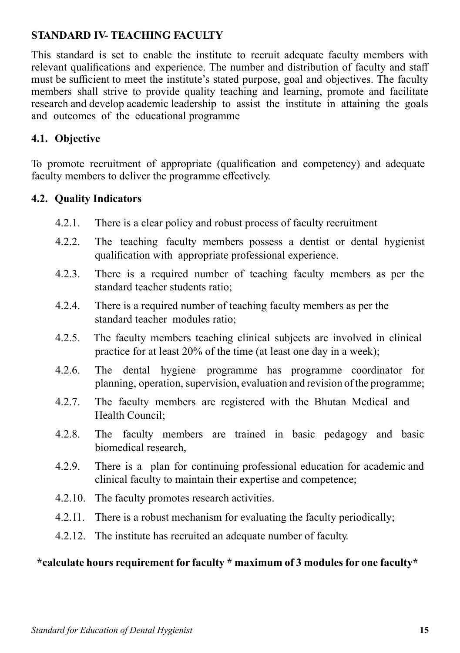# **STANDARD IV- TEACHING FACULTY**

This standard is set to enable the institute to recruit adequate faculty members with relevant qualifications and experience. The number and distribution of faculty and staff must be sufficient to meet the institute's stated purpose, goal and objectives. The faculty members shall strive to provide quality teaching and learning, promote and facilitate research and develop academic leadership to assist the institute in attaining the goals and outcomes of the educational programme

## **4.1. Objective**

To promote recruitment of appropriate (qualification and competency) and adequate faculty members to deliver the programme effectively.

## **4.2. Quality Indicators**

- 4.2.1. There is a clear policy and robust process of faculty recruitment
- 4.2.2. The teaching faculty members possess a dentist or dental hygienist qualification with appropriate professional experience.
- 4.2.3. There is a required number of teaching faculty members as per the standard teacher students ratio;
- 4.2.4. There is a required number of teaching faculty members as per the standard teacher modules ratio;
- 4.2.5. The faculty members teaching clinical subjects are involved in clinical practice for at least 20% of the time (at least one day in a week);
- 4.2.6. The dental hygiene programme has programme coordinator for planning, operation, supervision, evaluation and revision of the programme;
- 4.2.7. The faculty members are registered with the Bhutan Medical and Health Council;
- 4.2.8. The faculty members are trained in basic pedagogy and basic biomedical research,
- 4.2.9. There is a plan for continuing professional education for academic and clinical faculty to maintain their expertise and competence;
- 4.2.10. The faculty promotes research activities.
- 4.2.11. There is a robust mechanism for evaluating the faculty periodically;
- 4.2.12. The institute has recruited an adequate number of faculty.

## **\*calculate hours requirement for faculty \* maximum of 3 modules for one faculty\***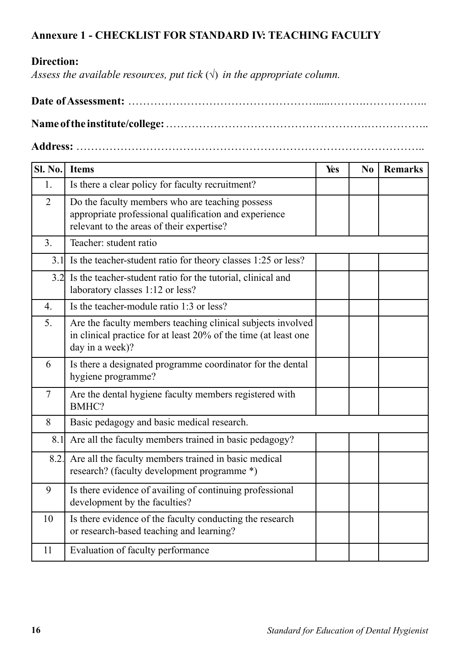# **Annexure 1 - CHECKLIST FOR STANDARD IV: TEACHING FACULTY**

# **Direction:**

*Assess the available resources, put tick*  $(\sqrt{})$  *in the appropriate column.* 

**Name of the institute/college:** ……………………………………………….……………..

**Address:** …………………………………………………………………………………..

| <b>Sl. No.</b> | <b>Items</b>                                                                                                                                          | Yes | N <sub>0</sub> | <b>Remarks</b> |
|----------------|-------------------------------------------------------------------------------------------------------------------------------------------------------|-----|----------------|----------------|
| 1.             | Is there a clear policy for faculty recruitment?                                                                                                      |     |                |                |
| $\overline{2}$ | Do the faculty members who are teaching possess<br>appropriate professional qualification and experience<br>relevant to the areas of their expertise? |     |                |                |
| 3.             | Teacher: student ratio                                                                                                                                |     |                |                |
|                | 3.1 Is the teacher-student ratio for theory classes 1:25 or less?                                                                                     |     |                |                |
|                | 3.2 Is the teacher-student ratio for the tutorial, clinical and<br>laboratory classes 1:12 or less?                                                   |     |                |                |
| 4.             | Is the teacher-module ratio 1:3 or less?                                                                                                              |     |                |                |
| 5.             | Are the faculty members teaching clinical subjects involved<br>in clinical practice for at least 20% of the time (at least one<br>day in a week)?     |     |                |                |
| 6              | Is there a designated programme coordinator for the dental<br>hygiene programme?                                                                      |     |                |                |
| $\overline{7}$ | Are the dental hygiene faculty members registered with<br>BMHC?                                                                                       |     |                |                |
| 8              | Basic pedagogy and basic medical research.                                                                                                            |     |                |                |
|                | 8.1 Are all the faculty members trained in basic pedagogy?                                                                                            |     |                |                |
| 8.2.           | Are all the faculty members trained in basic medical<br>research? (faculty development programme *)                                                   |     |                |                |
| 9              | Is there evidence of availing of continuing professional<br>development by the faculties?                                                             |     |                |                |
| 10             | Is there evidence of the faculty conducting the research<br>or research-based teaching and learning?                                                  |     |                |                |
| 11             | Evaluation of faculty performance                                                                                                                     |     |                |                |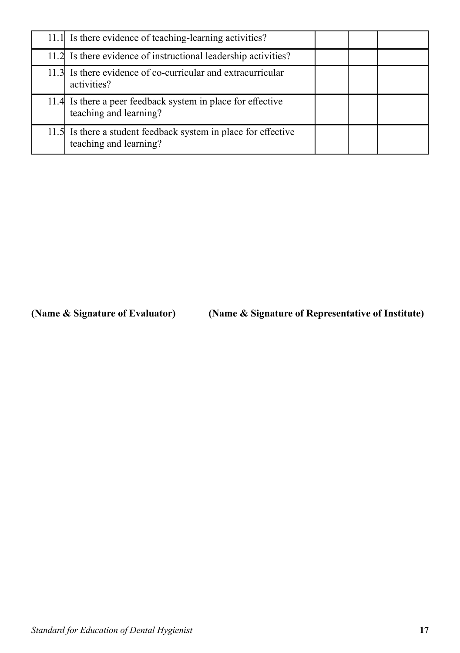| 11.1 Is there evidence of teaching-learning activities?                                  |  |  |
|------------------------------------------------------------------------------------------|--|--|
| 11.2 Is there evidence of instructional leadership activities?                           |  |  |
| 11.3 Is there evidence of co-curricular and extracurricular<br>activities?               |  |  |
| 11.4 Is there a peer feedback system in place for effective<br>teaching and learning?    |  |  |
| 11.5 Is there a student feedback system in place for effective<br>teaching and learning? |  |  |

**(Name & Signature of Evaluator) (Name & Signature of Representative of Institute)**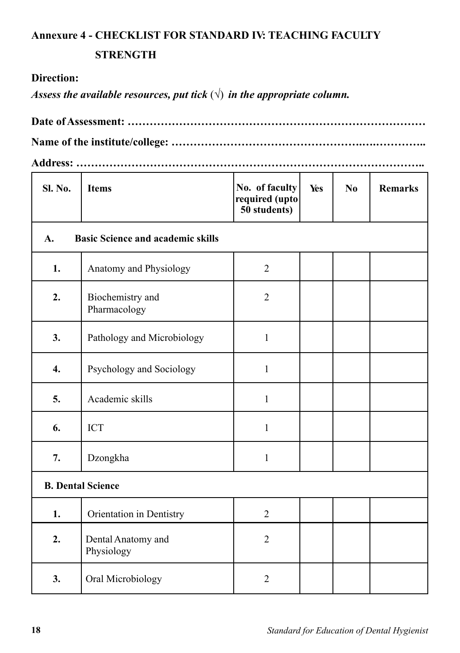# **Annexure 4 - CHECKLIST FOR STANDARD IV: TEACHING FACULTY**

# **STRENGTH**

# **Direction:**

*Assess the available resources, put tick*  $(\sqrt{})$  *in the appropriate column.* 

### **Address: …………………………………………………………………………………..**

| <b>Sl. No.</b>   | <b>Items</b>                             | No. of faculty<br>required (upto<br>50 students) | Yes | N <sub>0</sub> | <b>Remarks</b> |  |  |  |
|------------------|------------------------------------------|--------------------------------------------------|-----|----------------|----------------|--|--|--|
| A.               | <b>Basic Science and academic skills</b> |                                                  |     |                |                |  |  |  |
| 1.               | Anatomy and Physiology                   | $\overline{2}$                                   |     |                |                |  |  |  |
| 2.               | Biochemistry and<br>Pharmacology         | $\overline{2}$                                   |     |                |                |  |  |  |
| 3.               | Pathology and Microbiology               | $\mathbf{1}$                                     |     |                |                |  |  |  |
| $\overline{4}$ . | Psychology and Sociology                 | $\mathbf{1}$                                     |     |                |                |  |  |  |
| 5.               | Academic skills                          | $\mathbf{1}$                                     |     |                |                |  |  |  |
| 6.               | <b>ICT</b>                               | $\mathbf{1}$                                     |     |                |                |  |  |  |
| 7.               | Dzongkha                                 | $\mathbf{1}$                                     |     |                |                |  |  |  |
|                  | <b>B. Dental Science</b>                 |                                                  |     |                |                |  |  |  |
| 1.               | Orientation in Dentistry                 | $\overline{2}$                                   |     |                |                |  |  |  |
| 2.               | Dental Anatomy and<br>Physiology         | $\overline{2}$                                   |     |                |                |  |  |  |
| 3.               | Oral Microbiology                        | $\overline{2}$                                   |     |                |                |  |  |  |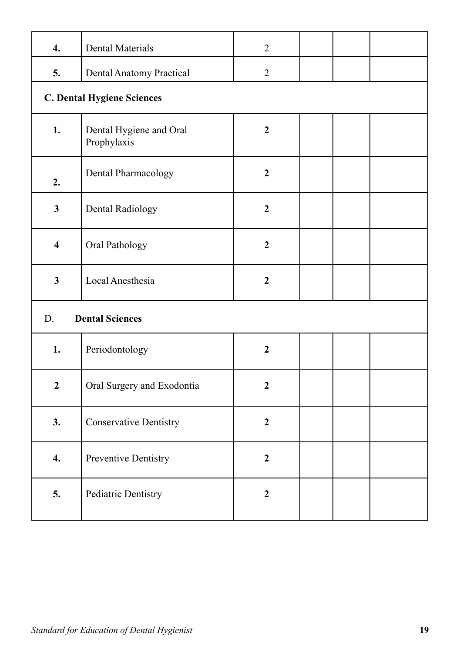| $\overline{4}$ .        | <b>Dental Materials</b>                | $\overline{2}$   |  |  |  |  |  |  |
|-------------------------|----------------------------------------|------------------|--|--|--|--|--|--|
| 5.                      | Dental Anatomy Practical               | $\overline{2}$   |  |  |  |  |  |  |
|                         | <b>C. Dental Hygiene Sciences</b>      |                  |  |  |  |  |  |  |
| 1.                      | Dental Hygiene and Oral<br>Prophylaxis | $\mathbf{2}$     |  |  |  |  |  |  |
| 2.                      | Dental Pharmacology                    | $\boldsymbol{2}$ |  |  |  |  |  |  |
| $\mathbf{3}$            | Dental Radiology                       | $\mathbf{2}$     |  |  |  |  |  |  |
| $\overline{\mathbf{4}}$ | Oral Pathology                         | $\mathbf{2}$     |  |  |  |  |  |  |
| $\mathbf{3}$            | Local Anesthesia                       | $\boldsymbol{2}$ |  |  |  |  |  |  |
| D.                      | <b>Dental Sciences</b>                 |                  |  |  |  |  |  |  |
| 1.                      | Periodontology                         | $\mathbf{2}$     |  |  |  |  |  |  |
| $\boldsymbol{2}$        | Oral Surgery and Exodontia             | $\mathbf{2}$     |  |  |  |  |  |  |
| 3.                      | <b>Conservative Dentistry</b>          | $\overline{2}$   |  |  |  |  |  |  |
| 4.                      | Preventive Dentistry                   | $\mathbf{2}$     |  |  |  |  |  |  |
| 5.                      | Pediatric Dentistry                    | $\overline{2}$   |  |  |  |  |  |  |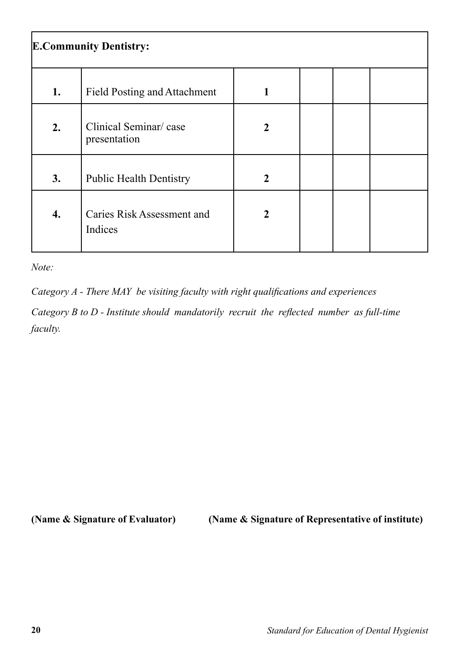| <b>E.Community Dentistry:</b> |                                       |   |  |  |  |  |
|-------------------------------|---------------------------------------|---|--|--|--|--|
| 1.                            | <b>Field Posting and Attachment</b>   |   |  |  |  |  |
| 2.                            | Clinical Seminar/case<br>presentation | 2 |  |  |  |  |
| 3.                            | <b>Public Health Dentistry</b>        | 2 |  |  |  |  |
| 4.                            | Caries Risk Assessment and<br>Indices | 2 |  |  |  |  |

*Note:*

*Category A - There MAY be visiting faculty with right qualifications and experiences Category B to D - Institute should mandatorily recruit the reflected number as full-time faculty.*

**(Name & Signature of Evaluator) (Name & Signature of Representative of institute)**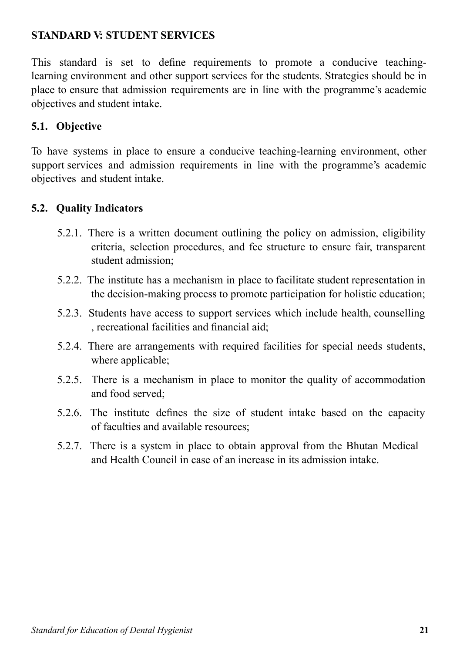# **STANDARD V: STUDENT SERVICES**

This standard is set to define requirements to promote a conducive teachinglearning environment and other support services for the students. Strategies should be in place to ensure that admission requirements are in line with the programme's academic objectives and student intake.

# **5.1. Objective**

To have systems in place to ensure a conducive teaching-learning environment, other support services and admission requirements in line with the programme's academic objectives and student intake.

# **5.2. Quality Indicators**

- 5.2.1. There is a written document outlining the policy on admission, eligibility criteria, selection procedures, and fee structure to ensure fair, transparent student admission;
- 5.2.2. The institute has a mechanism in place to facilitate student representation in the decision-making process to promote participation for holistic education;
- 5.2.3. Students have access to support services which include health, counselling , recreational facilities and financial aid;
- 5.2.4. There are arrangements with required facilities for special needs students, where applicable;
- 5.2.5. There is a mechanism in place to monitor the quality of accommodation and food served;
- 5.2.6. The institute defines the size of student intake based on the capacity of faculties and available resources;
- 5.2.7. There is a system in place to obtain approval from the Bhutan Medical and Health Council in case of an increase in its admission intake.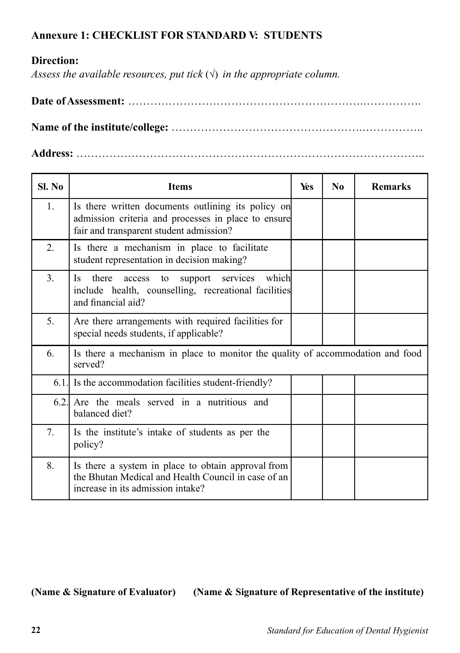# **Annexure 1: CHECKLIST FOR STANDARD V: STUDENTS**

# **Direction:**

*Assess the available resources, put tick*  $(\sqrt{})$  *in the appropriate column.* 

**Name of the institute/college:** …………………………………………….……………..

**Address:** …………………………………………………………………………………..

| Sl. No | <b>Items</b>                                                                                                                                         | Yes | $\bf No$ | <b>Remarks</b> |
|--------|------------------------------------------------------------------------------------------------------------------------------------------------------|-----|----------|----------------|
| 1.     | Is there written documents outlining its policy on<br>admission criteria and processes in place to ensure<br>fair and transparent student admission? |     |          |                |
| 2.     | Is there a mechanism in place to facilitate<br>student representation in decision making?                                                            |     |          |                |
| 3.     | there<br>services<br>which<br>Is.<br>support<br>access<br>to<br>include health, counselling, recreational facilities<br>and financial aid?           |     |          |                |
| 5.     | Are there arrangements with required facilities for<br>special needs students, if applicable?                                                        |     |          |                |
| 6.     | Is there a mechanism in place to monitor the quality of accommodation and food<br>served?                                                            |     |          |                |
|        | 6.1. Is the accommodation facilities student-friendly?                                                                                               |     |          |                |
| 6.2.   | Are the meals served in a nutritious and<br>balanced diet?                                                                                           |     |          |                |
| 7.     | Is the institute's intake of students as per the<br>policy?                                                                                          |     |          |                |
| 8.     | Is there a system in place to obtain approval from<br>the Bhutan Medical and Health Council in case of an<br>increase in its admission intake?       |     |          |                |

**(Name & Signature of Evaluator) (Name & Signature of Representative of the institute)**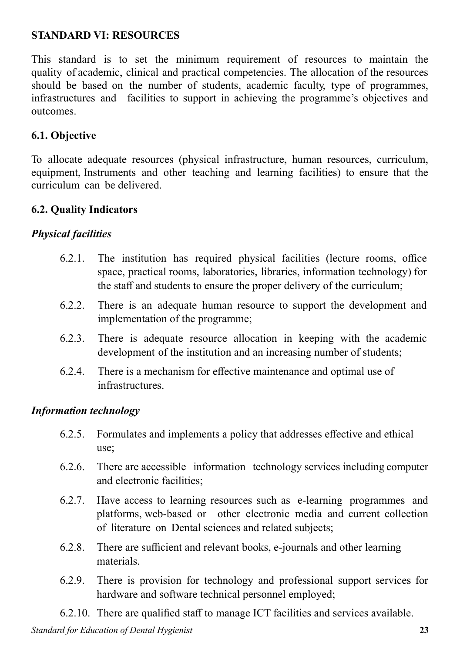## **STANDARD VI: RESOURCES**

This standard is to set the minimum requirement of resources to maintain the quality of academic, clinical and practical competencies. The allocation of the resources should be based on the number of students, academic faculty, type of programmes, infrastructures and facilities to support in achieving the programme's objectives and outcomes.

# **6.1. Objective**

To allocate adequate resources (physical infrastructure, human resources, curriculum, equipment, Instruments and other teaching and learning facilities) to ensure that the curriculum can be delivered.

#### **6.2. Quality Indicators**

## *Physical facilities*

- 6.2.1. The institution has required physical facilities (lecture rooms, office space, practical rooms, laboratories, libraries, information technology) for the staff and students to ensure the proper delivery of the curriculum;
- 6.2.2. There is an adequate human resource to support the development and implementation of the programme;
- 6.2.3. There is adequate resource allocation in keeping with the academic development of the institution and an increasing number of students;
- 6.2.4. There is a mechanism for effective maintenance and optimal use of infrastructures.

## *Information technology*

- 6.2.5. Formulates and implements a policy that addresses effective and ethical use;
- 6.2.6. There are accessible information technology services including computer and electronic facilities;
- 6.2.7. Have access to learning resources such as e-learning programmes and platforms, web-based or other electronic media and current collection of literature on Dental sciences and related subjects;
- 6.2.8. There are sufficient and relevant books, e-journals and other learning materials.
- 6.2.9. There is provision for technology and professional support services for hardware and software technical personnel employed;

6.2.10. There are qualified staff to manage ICT facilities and services available.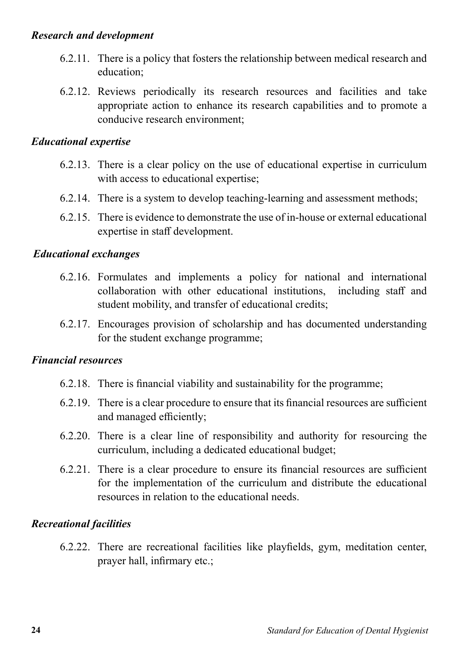#### *Research and development*

- 6.2.11. There is a policy that fosters the relationship between medical research and education;
- 6.2.12. Reviews periodically its research resources and facilities and take appropriate action to enhance its research capabilities and to promote a conducive research environment;

#### *Educational expertise*

- 6.2.13. There is a clear policy on the use of educational expertise in curriculum with access to educational expertise;
- 6.2.14. There is a system to develop teaching-learning and assessment methods;
- 6.2.15. There is evidence to demonstrate the use of in-house or external educational expertise in staff development.

#### *Educational exchanges*

- 6.2.16. Formulates and implements a policy for national and international collaboration with other educational institutions, including staff and student mobility, and transfer of educational credits;
- 6.2.17. Encourages provision of scholarship and has documented understanding for the student exchange programme;

#### *Financial resources*

- 6.2.18. There is financial viability and sustainability for the programme;
- 6.2.19. There is a clear procedure to ensure that its financial resources are sufficient and managed efficiently;
- 6.2.20. There is a clear line of responsibility and authority for resourcing the curriculum, including a dedicated educational budget;
- 6.2.21. There is a clear procedure to ensure its financial resources are sufficient for the implementation of the curriculum and distribute the educational resources in relation to the educational needs.

#### *Recreational facilities*

6.2.22. There are recreational facilities like playfields, gym, meditation center, prayer hall, infirmary etc.;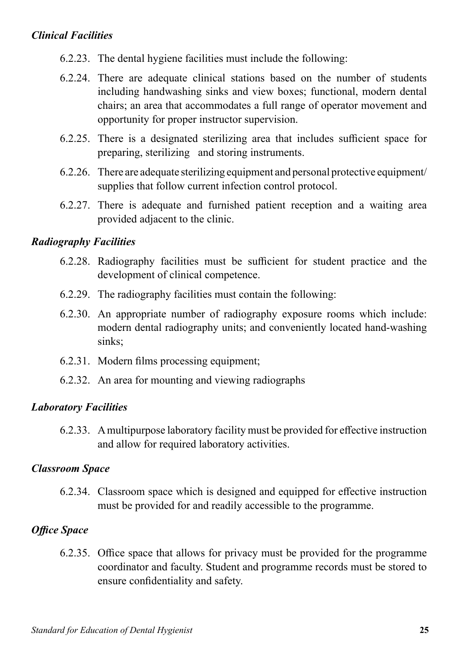# *Clinical Facilities*

- 6.2.23. The dental hygiene facilities must include the following:
- 6.2.24. There are adequate clinical stations based on the number of students including handwashing sinks and view boxes; functional, modern dental chairs; an area that accommodates a full range of operator movement and opportunity for proper instructor supervision.
- 6.2.25. There is a designated sterilizing area that includes sufficient space for preparing, sterilizing and storing instruments.
- 6.2.26. There are adequate sterilizing equipment and personal protective equipment/ supplies that follow current infection control protocol.
- 6.2.27. There is adequate and furnished patient reception and a waiting area provided adjacent to the clinic.

## *Radiography Facilities*

- 6.2.28. Radiography facilities must be sufficient for student practice and the development of clinical competence.
- 6.2.29. The radiography facilities must contain the following:
- 6.2.30. An appropriate number of radiography exposure rooms which include: modern dental radiography units; and conveniently located hand-washing sinks;
- 6.2.31. Modern films processing equipment;
- 6.2.32. An area for mounting and viewing radiographs

#### *Laboratory Facilities*

6.2.33. A multipurpose laboratory facility must be provided for effective instruction and allow for required laboratory activities.

#### *Classroom Space*

6.2.34. Classroom space which is designed and equipped for effective instruction must be provided for and readily accessible to the programme.

## *Office Space*

6.2.35. Office space that allows for privacy must be provided for the programme coordinator and faculty. Student and programme records must be stored to ensure confidentiality and safety.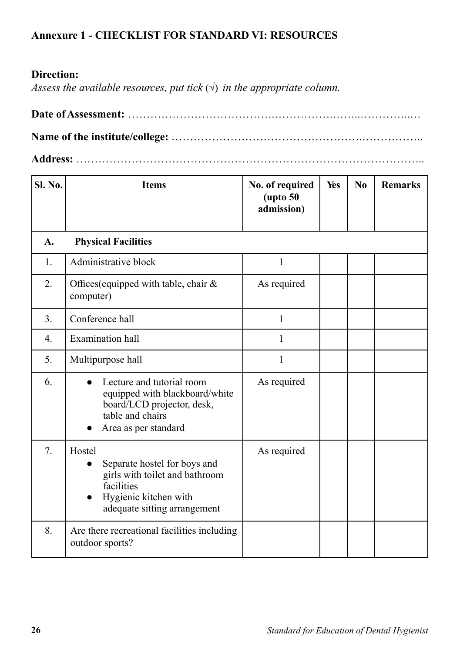# **Annexure 1 - CHECKLIST FOR STANDARD VI: RESOURCES**

# **Direction:**

*Assess the available resources, put tick*  $(\sqrt{})$  *in the appropriate column.* 

**Address:** …………………………………………………………………………………..

| Sl. No. | <b>Items</b>                                                                                                                                    | No. of required<br>$(\text{upto } 50)$<br>admission) | Yes | No | <b>Remarks</b> |
|---------|-------------------------------------------------------------------------------------------------------------------------------------------------|------------------------------------------------------|-----|----|----------------|
| A.      | <b>Physical Facilities</b>                                                                                                                      |                                                      |     |    |                |
| 1.      | Administrative block                                                                                                                            | 1                                                    |     |    |                |
| 2.      | Offices (equipped with table, chair $\&$<br>computer)                                                                                           | As required                                          |     |    |                |
| 3.      | Conference hall                                                                                                                                 | $\mathbf{1}$                                         |     |    |                |
| 4.      | <b>Examination</b> hall                                                                                                                         | $\mathbf{1}$                                         |     |    |                |
| 5.      | Multipurpose hall                                                                                                                               | $\mathbf{1}$                                         |     |    |                |
| 6.      | Lecture and tutorial room<br>equipped with blackboard/white<br>board/LCD projector, desk,<br>table and chairs<br>Area as per standard           | As required                                          |     |    |                |
| 7.      | Hostel<br>Separate hostel for boys and<br>girls with toilet and bathroom<br>facilities<br>Hygienic kitchen with<br>adequate sitting arrangement | As required                                          |     |    |                |
| 8.      | Are there recreational facilities including<br>outdoor sports?                                                                                  |                                                      |     |    |                |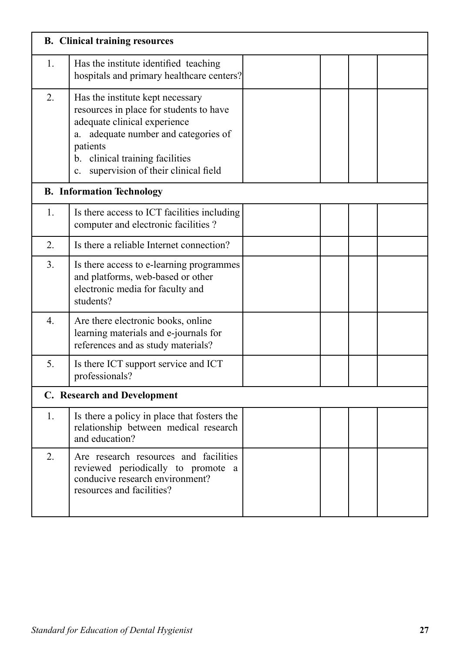|                  | <b>B.</b> Clinical training resources                                                                                                                                                                                                                       |  |  |
|------------------|-------------------------------------------------------------------------------------------------------------------------------------------------------------------------------------------------------------------------------------------------------------|--|--|
| 1.               | Has the institute identified teaching<br>hospitals and primary healthcare centers?                                                                                                                                                                          |  |  |
| 2.               | Has the institute kept necessary<br>resources in place for students to have<br>adequate clinical experience<br>adequate number and categories of<br>а.<br>patients<br>b. clinical training facilities<br>supervision of their clinical field<br>$c_{\cdot}$ |  |  |
|                  | <b>B.</b> Information Technology                                                                                                                                                                                                                            |  |  |
| 1.               | Is there access to ICT facilities including<br>computer and electronic facilities?                                                                                                                                                                          |  |  |
| 2.               | Is there a reliable Internet connection?                                                                                                                                                                                                                    |  |  |
| 3.               | Is there access to e-learning programmes<br>and platforms, web-based or other<br>electronic media for faculty and<br>students?                                                                                                                              |  |  |
| $\overline{4}$ . | Are there electronic books, online<br>learning materials and e-journals for<br>references and as study materials?                                                                                                                                           |  |  |
| 5.               | Is there ICT support service and ICT<br>professionals?                                                                                                                                                                                                      |  |  |
|                  | C. Research and Development                                                                                                                                                                                                                                 |  |  |
| 1.               | Is there a policy in place that fosters the<br>relationship between medical research<br>and education?                                                                                                                                                      |  |  |
| 2.               | Are research resources and facilities<br>reviewed periodically to promote a<br>conducive research environment?<br>resources and facilities?                                                                                                                 |  |  |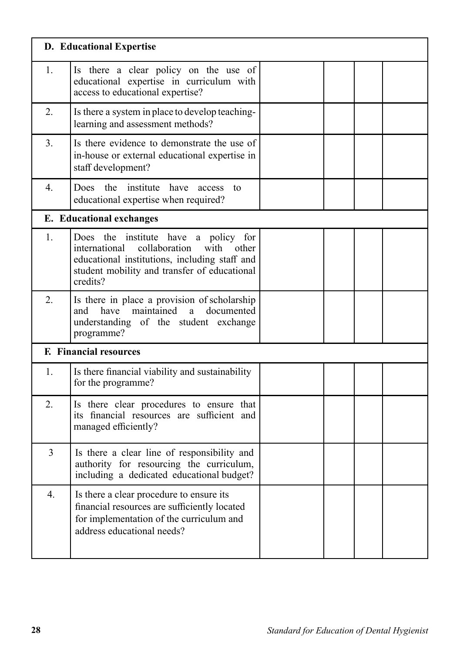|    | <b>D.</b> Educational Expertise                                                                                                                                                                         |  |  |
|----|---------------------------------------------------------------------------------------------------------------------------------------------------------------------------------------------------------|--|--|
| 1. | Is there a clear policy on the use of<br>educational expertise in curriculum with<br>access to educational expertise?                                                                                   |  |  |
| 2. | Is there a system in place to develop teaching-<br>learning and assessment methods?                                                                                                                     |  |  |
| 3. | Is there evidence to demonstrate the use of<br>in-house or external educational expertise in<br>staff development?                                                                                      |  |  |
| 4. | the institute have access<br>Does<br>to<br>educational expertise when required?                                                                                                                         |  |  |
|    | E. Educational exchanges                                                                                                                                                                                |  |  |
| 1. | Does the<br>institute have a policy for<br>collaboration<br>international<br>with<br>other<br>educational institutions, including staff and<br>student mobility and transfer of educational<br>credits? |  |  |
| 2. | Is there in place a provision of scholarship<br>have maintained<br>a<br>documented<br>and<br>understanding of the student exchange<br>programme?                                                        |  |  |
|    | <b>F.</b> Financial resources                                                                                                                                                                           |  |  |
| 1. | Is there financial viability and sustainability<br>for the programme?                                                                                                                                   |  |  |
| 2. | Is there clear procedures to ensure that<br>its financial resources are sufficient and<br>managed efficiently?                                                                                          |  |  |
| 3  | Is there a clear line of responsibility and<br>authority for resourcing the curriculum,<br>including a dedicated educational budget?                                                                    |  |  |
| 4. | Is there a clear procedure to ensure its<br>financial resources are sufficiently located<br>for implementation of the curriculum and<br>address educational needs?                                      |  |  |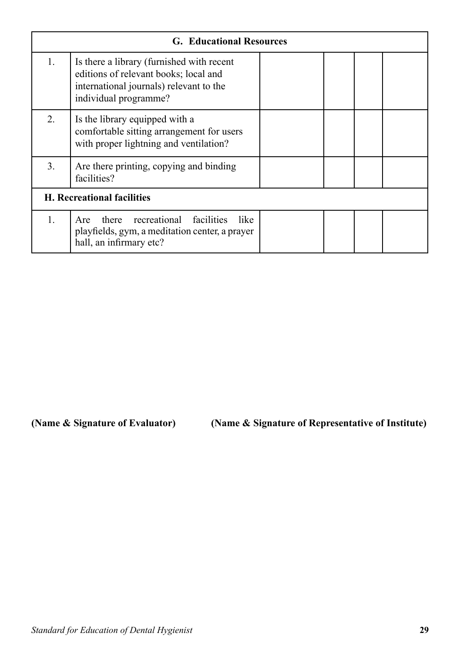|                                   | <b>G. Educational Resources</b>                                                                                                                        |  |  |  |  |  |
|-----------------------------------|--------------------------------------------------------------------------------------------------------------------------------------------------------|--|--|--|--|--|
| 1.                                | Is there a library (furnished with recent<br>editions of relevant books; local and<br>international journals) relevant to the<br>individual programme? |  |  |  |  |  |
| 2.                                | Is the library equipped with a<br>comfortable sitting arrangement for users<br>with proper lightning and ventilation?                                  |  |  |  |  |  |
| 3.                                | Are there printing, copying and binding<br>facilities?                                                                                                 |  |  |  |  |  |
| <b>H.</b> Recreational facilities |                                                                                                                                                        |  |  |  |  |  |
| 1.                                | there recreational facilities<br>like.<br>Are<br>playfields, gym, a meditation center, a prayer<br>hall, an infirmary etc?                             |  |  |  |  |  |

**(Name & Signature of Evaluator) (Name & Signature of Representative of Institute)**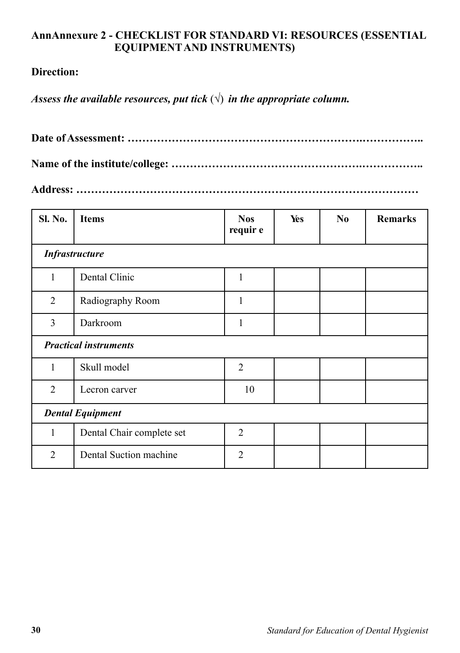#### **AnnAnnexure 2 - CHECKLIST FOR STANDARD VI: RESOURCES (ESSENTIAL EQUIPMENT AND INSTRUMENTS)**

#### **Direction:**

*Assess the available resources, put tick*  $(\sqrt{})$  *in the appropriate column.* 

**Date of Assessment: ……………………………………………………….……………..**

**Name of the institute/college: …………………………………………….……………..** 

**Address: …………………………………………………………………………………**

| Sl. No.                 | <b>Items</b>                 | <b>Nos</b><br>requir e | Yes | N <sub>0</sub> | <b>Remarks</b> |  |  |  |
|-------------------------|------------------------------|------------------------|-----|----------------|----------------|--|--|--|
| <b>Infrastructure</b>   |                              |                        |     |                |                |  |  |  |
| $\mathbf{1}$            | Dental Clinic                | $\mathbf{1}$           |     |                |                |  |  |  |
| 2                       | Radiography Room             | 1                      |     |                |                |  |  |  |
| 3                       | Darkroom                     | 1                      |     |                |                |  |  |  |
|                         | <b>Practical instruments</b> |                        |     |                |                |  |  |  |
| 1                       | Skull model                  | $\overline{2}$         |     |                |                |  |  |  |
| $\overline{2}$          | Lecron carver                | 10                     |     |                |                |  |  |  |
| <b>Dental Equipment</b> |                              |                        |     |                |                |  |  |  |
| $\mathbf{1}$            | Dental Chair complete set    | $\overline{2}$         |     |                |                |  |  |  |
| $\overline{2}$          | Dental Suction machine       | $\overline{2}$         |     |                |                |  |  |  |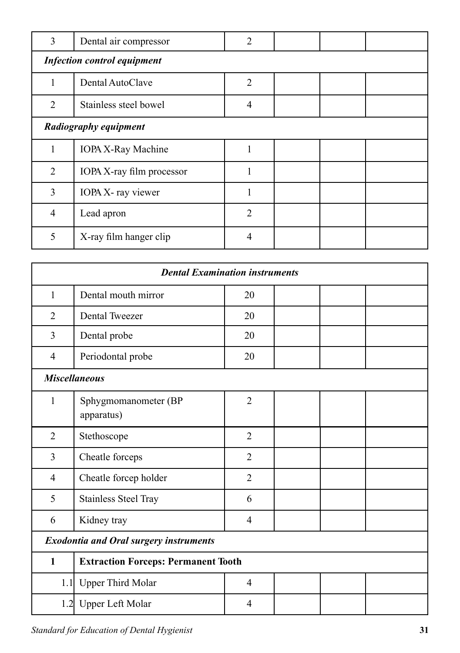| 3                     | Dental air compressor              | 2              |  |  |  |  |  |
|-----------------------|------------------------------------|----------------|--|--|--|--|--|
|                       | <b>Infection control equipment</b> |                |  |  |  |  |  |
| 1                     | Dental AutoClave                   | $\overline{2}$ |  |  |  |  |  |
| 2                     | Stainless steel bowel              | $\overline{4}$ |  |  |  |  |  |
| Radiography equipment |                                    |                |  |  |  |  |  |
| 1                     | <b>IOPA X-Ray Machine</b>          | 1              |  |  |  |  |  |
| 2                     | IOPA X-ray film processor          |                |  |  |  |  |  |
| 3                     | IOPA X- ray viewer                 |                |  |  |  |  |  |
| $\overline{4}$        | Lead apron                         | $\overline{2}$ |  |  |  |  |  |
| 5                     | X-ray film hanger clip             | 4              |  |  |  |  |  |

| <b>Dental Examination instruments</b>         |                                            |                |  |  |  |  |
|-----------------------------------------------|--------------------------------------------|----------------|--|--|--|--|
| 1                                             | Dental mouth mirror                        | 20             |  |  |  |  |
| 2                                             | <b>Dental Tweezer</b>                      | 20             |  |  |  |  |
| 3                                             | Dental probe                               | 20             |  |  |  |  |
| $\overline{4}$                                | Periodontal probe                          | 20             |  |  |  |  |
|                                               | <b>Miscellaneous</b>                       |                |  |  |  |  |
| $\mathbf{1}$                                  | Sphygmomanometer (BP<br>apparatus)         | $\overline{2}$ |  |  |  |  |
| $\overline{2}$                                | Stethoscope                                | $\overline{2}$ |  |  |  |  |
| $\overline{3}$                                | Cheatle forceps                            | $\overline{2}$ |  |  |  |  |
| $\overline{4}$                                | Cheatle forcep holder                      | $\overline{2}$ |  |  |  |  |
| 5                                             | <b>Stainless Steel Tray</b>                | 6              |  |  |  |  |
| 6                                             | Kidney tray                                | $\overline{4}$ |  |  |  |  |
| <b>Exodontia and Oral surgery instruments</b> |                                            |                |  |  |  |  |
| $\mathbf{1}$                                  | <b>Extraction Forceps: Permanent Tooth</b> |                |  |  |  |  |
|                                               | 1.1 Upper Third Molar                      | $\overline{4}$ |  |  |  |  |
|                                               | 1.2 Upper Left Molar                       | 4              |  |  |  |  |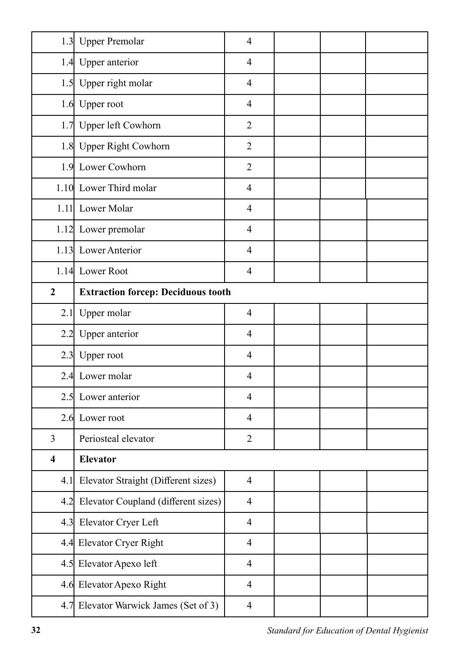|                         | 1.3 Upper Premolar                        | $\overline{4}$ |  |  |
|-------------------------|-------------------------------------------|----------------|--|--|
|                         | 1.4 Upper anterior                        | $\overline{4}$ |  |  |
|                         | 1.5 Upper right molar                     | $\overline{4}$ |  |  |
|                         | 1.6 Upper root                            | $\overline{4}$ |  |  |
|                         | 1.7 Upper left Cowhorn                    | $\overline{2}$ |  |  |
|                         | 1.8 Upper Right Cowhorn                   | $\overline{2}$ |  |  |
|                         | 1.9 Lower Cowhorn                         | $\overline{2}$ |  |  |
|                         | 1.10 Lower Third molar                    | $\overline{4}$ |  |  |
|                         | 1.11 Lower Molar                          | $\overline{4}$ |  |  |
|                         | 1.12 Lower premolar                       | $\overline{4}$ |  |  |
|                         | 1.13 Lower Anterior                       | $\overline{4}$ |  |  |
|                         | 1.14 Lower Root                           | $\overline{4}$ |  |  |
| $\boldsymbol{2}$        | <b>Extraction forcep: Deciduous tooth</b> |                |  |  |
|                         | 2.1 Upper molar                           | $\overline{4}$ |  |  |
| 2.2                     | Upper anterior                            | $\overline{4}$ |  |  |
| 2.3                     | Upper root                                | $\overline{4}$ |  |  |
| 2.4                     | Lower molar                               | $\overline{4}$ |  |  |
|                         | 2.5 Lower anterior                        | $\overline{4}$ |  |  |
|                         | 2.6 Lower root                            | $\overline{4}$ |  |  |
| 3                       | Periosteal elevator                       | $\overline{2}$ |  |  |
| $\overline{\mathbf{4}}$ | <b>Elevator</b>                           |                |  |  |
| 4.1                     | Elevator Straight (Different sizes)       | $\overline{4}$ |  |  |
| 4.2                     | Elevator Coupland (different sizes)       | $\overline{4}$ |  |  |
| 4.3                     | Elevator Cryer Left                       | $\overline{4}$ |  |  |
|                         | 4.4 Elevator Cryer Right                  | $\overline{4}$ |  |  |
|                         | 4.5 Elevator Apexo left                   | $\overline{4}$ |  |  |
|                         | 4.6 Elevator Apexo Right                  | $\overline{4}$ |  |  |
|                         | 4.7 Elevator Warwick James (Set of 3)     | $\overline{4}$ |  |  |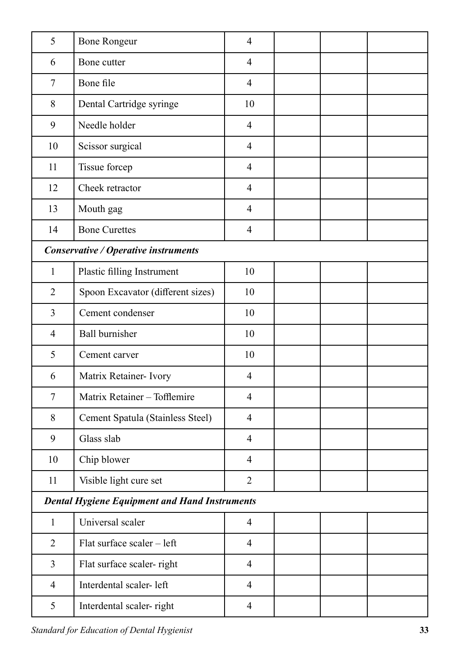| 5              | <b>Bone Rongeur</b>                                  | $\overline{4}$ |  |  |  |  |
|----------------|------------------------------------------------------|----------------|--|--|--|--|
| 6              | Bone cutter                                          | $\overline{4}$ |  |  |  |  |
| 7              | Bone file                                            | $\overline{4}$ |  |  |  |  |
| 8              | Dental Cartridge syringe                             | 10             |  |  |  |  |
| 9              | Needle holder                                        | $\overline{4}$ |  |  |  |  |
| 10             | Scissor surgical                                     | $\overline{4}$ |  |  |  |  |
| 11             | Tissue forcep                                        | $\overline{4}$ |  |  |  |  |
| 12             | Cheek retractor                                      | $\overline{4}$ |  |  |  |  |
| 13             | Mouth gag                                            | $\overline{4}$ |  |  |  |  |
| 14             | <b>Bone Curettes</b>                                 | $\overline{4}$ |  |  |  |  |
|                | Conservative / Operative instruments                 |                |  |  |  |  |
| $\mathbf{1}$   | Plastic filling Instrument                           | 10             |  |  |  |  |
| $\overline{2}$ | Spoon Excavator (different sizes)                    | 10             |  |  |  |  |
| 3              | Cement condenser                                     | 10             |  |  |  |  |
| $\overline{4}$ | <b>Ball burnisher</b>                                | 10             |  |  |  |  |
| 5              | Cement carver                                        | 10             |  |  |  |  |
| 6              | Matrix Retainer- Ivory                               | $\overline{4}$ |  |  |  |  |
| 7              | Matrix Retainer - Tofflemire                         | $\overline{4}$ |  |  |  |  |
| 8              | Cement Spatula (Stainless Steel)                     | $\overline{4}$ |  |  |  |  |
| 9              | Glass slab                                           | $\overline{4}$ |  |  |  |  |
| 10             | Chip blower                                          | $\overline{4}$ |  |  |  |  |
| 11             | Visible light cure set                               | $\overline{2}$ |  |  |  |  |
|                | <b>Dental Hygiene Equipment and Hand Instruments</b> |                |  |  |  |  |
| $\mathbf{1}$   | Universal scaler                                     | $\overline{4}$ |  |  |  |  |
| $\overline{2}$ | Flat surface scaler - left                           | $\overline{4}$ |  |  |  |  |
| 3              | Flat surface scaler-right                            | $\overline{4}$ |  |  |  |  |
| $\overline{4}$ | Interdental scaler-left                              | $\overline{4}$ |  |  |  |  |
| 5              | Interdental scaler-right                             | $\overline{4}$ |  |  |  |  |

*Standard for Education of Dental Hygienist* **33**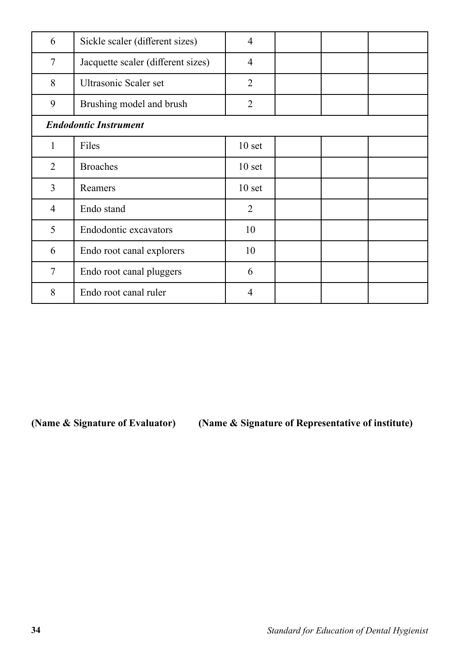| 6              | Sickle scaler (different sizes)    | 4                 |  |  |
|----------------|------------------------------------|-------------------|--|--|
| 7              | Jacquette scaler (different sizes) | 4                 |  |  |
| 8              | Ultrasonic Scaler set              | $\overline{2}$    |  |  |
| 9              | Brushing model and brush           | $\overline{2}$    |  |  |
|                | <b>Endodontic Instrument</b>       |                   |  |  |
| 1              | Files                              | 10 <sub>set</sub> |  |  |
| $\overline{2}$ | <b>Broaches</b>                    | 10 <sub>set</sub> |  |  |
| 3              | Reamers                            | 10 <sub>set</sub> |  |  |
| $\overline{4}$ | Endo stand                         | $\overline{2}$    |  |  |
| 5              | Endodontic excavators              | 10                |  |  |
| 6              | Endo root canal explorers          | 10                |  |  |
| 7              | Endo root canal pluggers           | 6                 |  |  |
| 8              | Endo root canal ruler              | 4                 |  |  |

**(Name & Signature of Evaluator) (Name & Signature of Representative of institute)**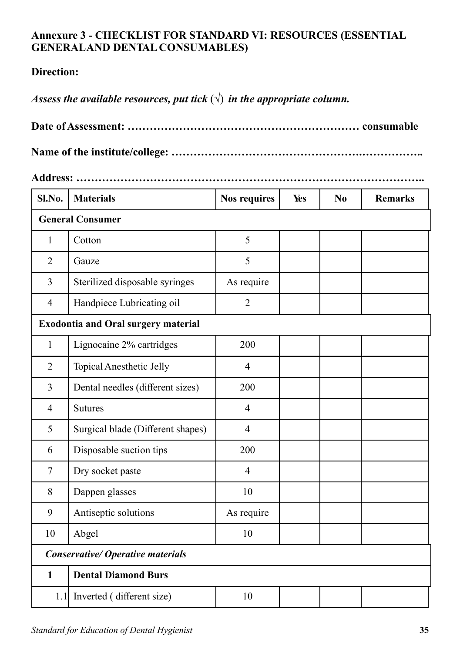# **Annexure 3 - CHECKLIST FOR STANDARD VI: RESOURCES (ESSENTIAL GENERAL AND DENTAL CONSUMABLES)**

# **Direction:**

*Assess the available resources, put tick*  $(\sqrt{})$  *in the appropriate column.* 

**Name of the institute/college: …………………………………………….……………..** 

**Address: …………………………………………………………………………………..**

| Sl.No.                                   | <b>Materials</b>                           | <b>Nos requires</b> | Yes | N <sub>0</sub> | <b>Remarks</b> |  |  |
|------------------------------------------|--------------------------------------------|---------------------|-----|----------------|----------------|--|--|
|                                          | <b>General Consumer</b>                    |                     |     |                |                |  |  |
| $\mathbf{1}$                             | Cotton                                     | 5                   |     |                |                |  |  |
| $\overline{2}$                           | Gauze                                      | 5                   |     |                |                |  |  |
| 3                                        | Sterilized disposable syringes             | As require          |     |                |                |  |  |
| $\overline{4}$                           | Handpiece Lubricating oil                  | $\overline{2}$      |     |                |                |  |  |
|                                          | <b>Exodontia and Oral surgery material</b> |                     |     |                |                |  |  |
| 1                                        | Lignocaine 2% cartridges                   | 200                 |     |                |                |  |  |
| $\overline{2}$                           | Topical Anesthetic Jelly                   | $\overline{4}$      |     |                |                |  |  |
| 3                                        | Dental needles (different sizes)           | 200                 |     |                |                |  |  |
| $\overline{4}$                           | <b>Sutures</b>                             | $\overline{4}$      |     |                |                |  |  |
| 5                                        | Surgical blade (Different shapes)          | $\overline{4}$      |     |                |                |  |  |
| 6                                        | Disposable suction tips                    | 200                 |     |                |                |  |  |
| $\tau$                                   | Dry socket paste                           | $\overline{4}$      |     |                |                |  |  |
| 8                                        | Dappen glasses                             | 10                  |     |                |                |  |  |
| 9                                        | Antiseptic solutions                       | As require          |     |                |                |  |  |
| 10                                       | Abgel                                      | 10                  |     |                |                |  |  |
| <b>Conservative/ Operative materials</b> |                                            |                     |     |                |                |  |  |
| $\mathbf{1}$                             | <b>Dental Diamond Burs</b>                 |                     |     |                |                |  |  |
|                                          | 1.1 Inverted (different size)              | 10                  |     |                |                |  |  |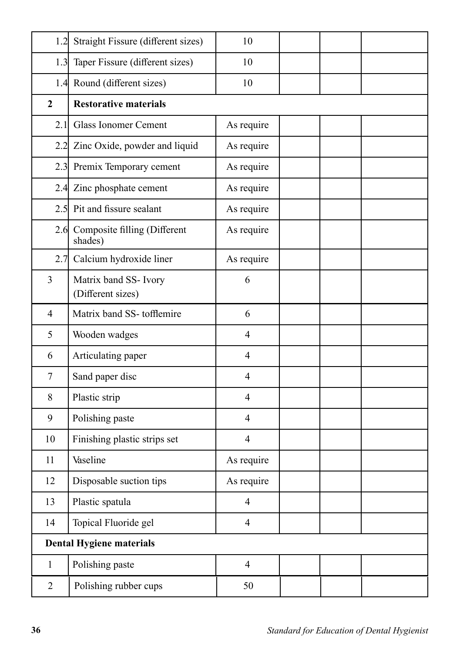| 1.2            | Straight Fissure (different sizes)          | 10             |  |  |  |  |
|----------------|---------------------------------------------|----------------|--|--|--|--|
|                | 1.3 Taper Fissure (different sizes)         | 10             |  |  |  |  |
|                | 1.4 Round (different sizes)                 | 10             |  |  |  |  |
| $\overline{2}$ | <b>Restorative materials</b>                |                |  |  |  |  |
| 2.1            | <b>Glass Ionomer Cement</b>                 | As require     |  |  |  |  |
| 2.2            | Zinc Oxide, powder and liquid               | As require     |  |  |  |  |
|                | 2.3 Premix Temporary cement                 | As require     |  |  |  |  |
|                | 2.4 Zinc phosphate cement                   | As require     |  |  |  |  |
|                | 2.5 Pit and fissure sealant                 | As require     |  |  |  |  |
|                | 2.6 Composite filling (Different<br>shades) | As require     |  |  |  |  |
|                | 2.7 Calcium hydroxide liner                 | As require     |  |  |  |  |
| $\overline{3}$ | Matrix band SS- Ivory<br>(Different sizes)  | 6              |  |  |  |  |
| $\overline{4}$ | Matrix band SS-tofflemire                   | 6              |  |  |  |  |
| 5              | Wooden wadges                               | $\overline{4}$ |  |  |  |  |
| 6              | Articulating paper                          | $\overline{4}$ |  |  |  |  |
| 7              | Sand paper disc                             | $\overline{4}$ |  |  |  |  |
| 8              | Plastic strip                               | $\overline{4}$ |  |  |  |  |
| 9              | Polishing paste                             | $\overline{4}$ |  |  |  |  |
| 10             | Finishing plastic strips set                | $\overline{4}$ |  |  |  |  |
| 11             | Vaseline                                    | As require     |  |  |  |  |
| 12             | Disposable suction tips                     | As require     |  |  |  |  |
| 13             | Plastic spatula                             | $\overline{4}$ |  |  |  |  |
| 14             | Topical Fluoride gel                        | $\overline{4}$ |  |  |  |  |
|                | <b>Dental Hygiene materials</b>             |                |  |  |  |  |
| $\mathbf{1}$   | Polishing paste                             | $\overline{4}$ |  |  |  |  |
| $\overline{2}$ | Polishing rubber cups                       | 50             |  |  |  |  |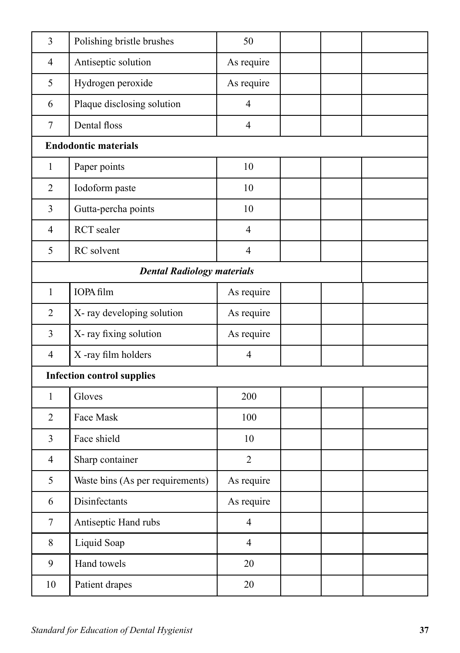| $\overline{3}$ | Polishing bristle brushes         | 50             |  |  |
|----------------|-----------------------------------|----------------|--|--|
| $\overline{4}$ | Antiseptic solution               | As require     |  |  |
| 5              | Hydrogen peroxide                 | As require     |  |  |
| 6              | Plaque disclosing solution        | $\overline{4}$ |  |  |
| $\overline{7}$ | Dental floss                      | $\overline{4}$ |  |  |
|                | <b>Endodontic materials</b>       |                |  |  |
| $\mathbf{1}$   | Paper points                      | 10             |  |  |
| $\overline{2}$ | Iodoform paste                    | 10             |  |  |
| $\overline{3}$ | Gutta-percha points               | 10             |  |  |
| $\overline{4}$ | <b>RCT</b> sealer                 | $\overline{4}$ |  |  |
| 5              | RC solvent                        | $\overline{4}$ |  |  |
|                | <b>Dental Radiology materials</b> |                |  |  |
| $\mathbf{1}$   | IOPA film                         | As require     |  |  |
| $\overline{2}$ | X- ray developing solution        | As require     |  |  |
| $\overline{3}$ | X-ray fixing solution             | As require     |  |  |
| $\overline{4}$ | X-ray film holders                | $\overline{4}$ |  |  |
|                | <b>Infection control supplies</b> |                |  |  |
| $\mathbf{1}$   | Gloves                            | 200            |  |  |
| $\overline{2}$ | Face Mask                         | 100            |  |  |
| 3              | Face shield                       | 10             |  |  |
| $\overline{4}$ | Sharp container                   | $\overline{2}$ |  |  |
| 5              | Waste bins (As per requirements)  | As require     |  |  |
| 6              | Disinfectants                     | As require     |  |  |
| $\tau$         | Antiseptic Hand rubs              | $\overline{4}$ |  |  |
| 8              | Liquid Soap                       | $\overline{4}$ |  |  |
| 9              | Hand towels                       | 20             |  |  |
| 10             | Patient drapes                    | 20             |  |  |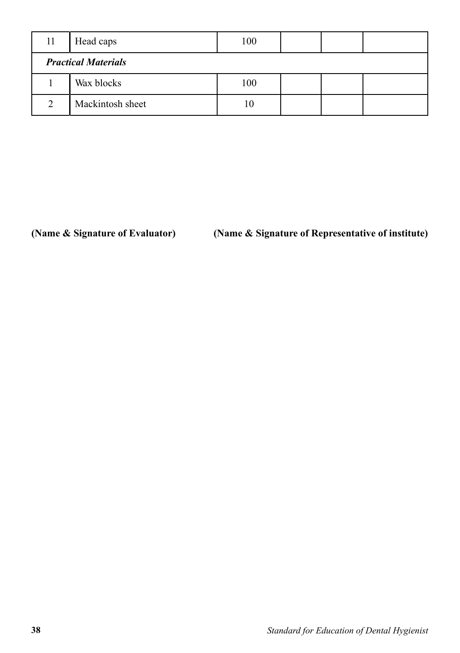| 11                         | Head caps        | 100  |  |  |  |  |
|----------------------------|------------------|------|--|--|--|--|
| <b>Practical Materials</b> |                  |      |  |  |  |  |
|                            | Wax blocks       | 100  |  |  |  |  |
| C                          | Mackintosh sheet | l () |  |  |  |  |

# **(Name & Signature of Evaluator) (Name & Signature of Representative of institute)**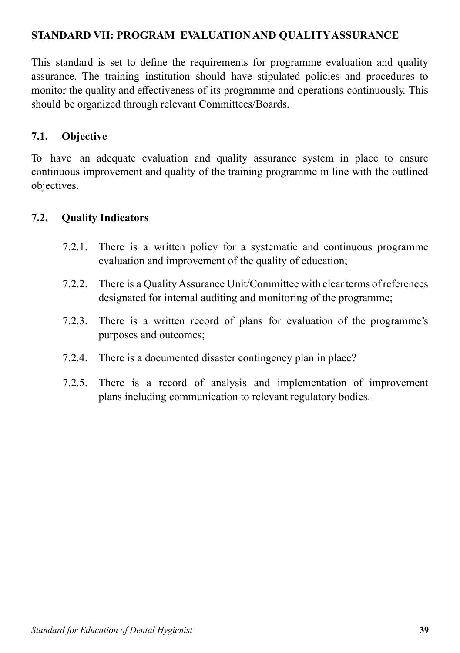# **STANDARD VII: PROGRAM EVALUATION AND QUALITY ASSURANCE**

This standard is set to define the requirements for programme evaluation and quality assurance. The training institution should have stipulated policies and procedures to monitor the quality and effectiveness of its programme and operations continuously. This should be organized through relevant Committees/Boards.

#### **7.1. Objective**

To have an adequate evaluation and quality assurance system in place to ensure continuous improvement and quality of the training programme in line with the outlined objectives.

#### **7.2. Quality Indicators**

- 7.2.1. There is a written policy for a systematic and continuous programme evaluation and improvement of the quality of education;
- 7.2.2. There is a Quality Assurance Unit/Committee with clear terms of references designated for internal auditing and monitoring of the programme;
- 7.2.3. There is a written record of plans for evaluation of the programme's purposes and outcomes;
- 7.2.4. There is a documented disaster contingency plan in place?
- 7.2.5. There is a record of analysis and implementation of improvement plans including communication to relevant regulatory bodies.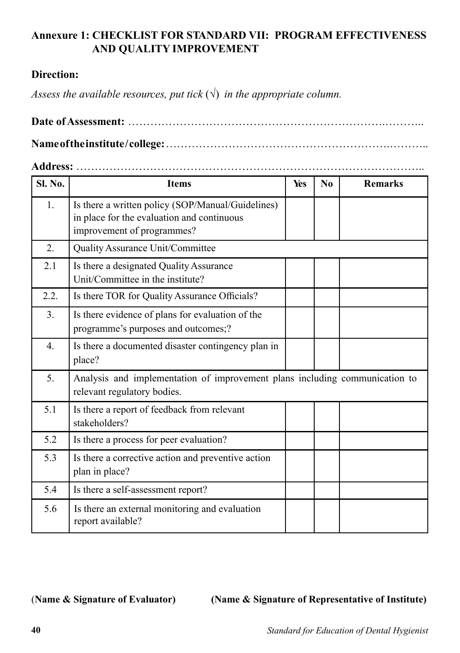# **Annexure 1: CHECKLIST FOR STANDARD VII: PROGRAM EFFECTIVENESS AND QUALITY IMPROVEMENT**

## **Direction:**

*Assess the available resources, put tick*  $(\sqrt{})$  *in the appropriate column.* 

**Date of Assessment:** …………………………………………………………….……….. **Name of the institute / college:** …………………………………………………….………..

#### **Address:** …………………………………………………………………………………..

| Sl. No.          | <b>Items</b>                                                                                                                  | Yes | No | <b>Remarks</b> |
|------------------|-------------------------------------------------------------------------------------------------------------------------------|-----|----|----------------|
| 1.               | Is there a written policy (SOP/Manual/Guidelines)<br>in place for the evaluation and continuous<br>improvement of programmes? |     |    |                |
| $\overline{2}$ . | Quality Assurance Unit/Committee                                                                                              |     |    |                |
| 2.1              | Is there a designated Quality Assurance<br>Unit/Committee in the institute?                                                   |     |    |                |
| 2.2.             | Is there TOR for Quality Assurance Officials?                                                                                 |     |    |                |
| 3.               | Is there evidence of plans for evaluation of the<br>programme's purposes and outcomes;?                                       |     |    |                |
| $\overline{4}$ . | Is there a documented disaster contingency plan in<br>place?                                                                  |     |    |                |
| 5.               | Analysis and implementation of improvement plans including communication to<br>relevant regulatory bodies.                    |     |    |                |
| 5.1              | Is there a report of feedback from relevant<br>stakeholders?                                                                  |     |    |                |
| 5.2              | Is there a process for peer evaluation?                                                                                       |     |    |                |
| 5.3              | Is there a corrective action and preventive action<br>plan in place?                                                          |     |    |                |
| 5.4              | Is there a self-assessment report?                                                                                            |     |    |                |
| 5.6              | Is there an external monitoring and evaluation<br>report available?                                                           |     |    |                |

(**Name & Signature of Evaluator) (Name & Signature of Representative of Institute)**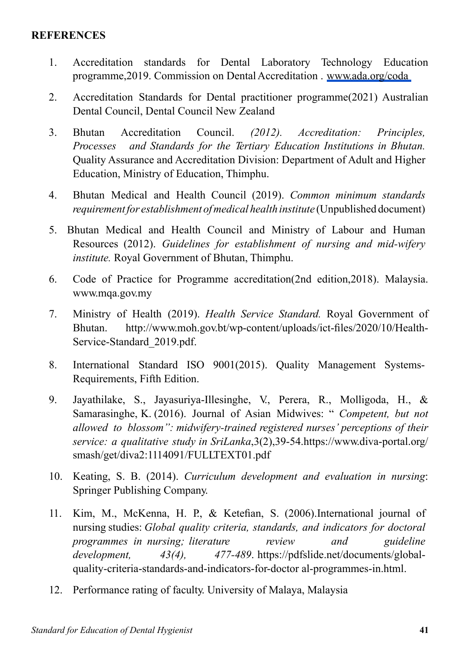#### **REFERENCES**

- 1. Accreditation standards for Dental Laboratory Technology Education programme,2019. Commission on Dental Accreditation . www.ada.org/coda
- 2. Accreditation Standards for Dental practitioner programme(2021) Australian Dental Council, Dental Council New Zealand
- 3. Bhutan Accreditation Council. *(2012). Accreditation: Principles, Processes and Standards for the Tertiary Education Institutions in Bhutan.*  Quality Assurance and Accreditation Division: Department of Adult and Higher Education, Ministry of Education, Thimphu.
- 4. Bhutan Medical and Health Council (2019). *Common minimum standards requirement for establishment of medical health institute* (Unpublished document)
- 5. Bhutan Medical and Health Council and Ministry of Labour and Human Resources (2012). *Guidelines for establishment of nursing and mid-wifery institute.* Royal Government of Bhutan, Thimphu.
- 6. Code of Practice for Programme accreditation(2nd edition,2018). Malaysia. www.mqa.gov.my
- 7. Ministry of Health (2019). *Health Service Standard.* Royal Government of Bhutan. http://www.moh.gov.bt/wp-content/uploads/ict-files/2020/10/Health-Service-Standard\_2019.pdf.
- 8. International Standard ISO 9001(2015). Quality Management Systems-Requirements, Fifth Edition.
- 9. Jayathilake, S., Jayasuriya-Illesinghe, V., Perera, R., Molligoda, H., & Samarasinghe, K. (2016). Journal of Asian Midwives: " *Competent, but not allowed to blossom": midwifery-trained registered nurses' perceptions of their service: a qualitative study in SriLanka*,3(2),39-54.https://www.diva-portal.org/ smash/get/diva2:1114091/FULLTEXT01.pdf
- 10. Keating, S. B. (2014). *Curriculum development and evaluation in nursing*: Springer Publishing Company.
- 11. Kim, M., McKenna, H. P., & Ketefian, S. (2006).International journal of nursing studies: *Global quality criteria, standards, and indicators for doctoral programmes in nursing; literature review and guideline development, 43(4), 477-489*. https://pdfslide.net/documents/globalquality-criteria-standards-and-indicators-for-doctor al-programmes-in.html.
- 12. Performance rating of faculty. University of Malaya, Malaysia